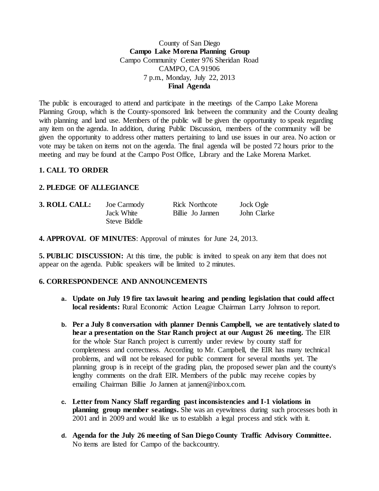### County of San Diego **Campo Lake Morena Planning Group** Campo Community Center 976 Sheridan Road CAMPO, CA 91906 7 p.m., Monday, July 22, 2013 **Final Agenda**

The public is encouraged to attend and participate in the meetings of the Campo Lake Morena Planning Group, which is the County-sponsored link between the community and the County dealing with planning and land use. Members of the public will be given the opportunity to speak regarding any item on the agenda. In addition, during Public Discussion, members of the community will be given the opportunity to address other matters pertaining to land use issues in our area. No action or vote may be taken on items not on the agenda. The final agenda will be posted 72 hours prior to the meeting and may be found at the Campo Post Office, Library and the Lake Morena Market.

#### **1. CALL TO ORDER**

#### **2. PLEDGE OF ALLEGIANCE**

| 3. ROLL CALL: | Joe Carmody  | <b>Rick Northcote</b> | Jock Ogle   |
|---------------|--------------|-----------------------|-------------|
|               | Jack White   | Billie Jo Jannen      | John Clarke |
|               | Steve Biddle |                       |             |

**4. APPROVAL OF MINUTES**: Approval of minutes for June 24, 2013.

**5. PUBLIC DISCUSSION:** At this time, the public is invited to speak on any item that does not appear on the agenda. Public speakers will be limited to 2 minutes.

#### **6. CORRESPONDENCE AND ANNOUNCEMENTS**

- **a. Update on July 19 fire tax lawsuit hearing and pending legislation that could affect local residents:** Rural Economic Action League Chairman Larry Johnson to report.
- **b. Per a July 8 conversation with planner Dennis Campbell, we are tentatively slated to hear a presentation on the Star Ranch project at our August 26 meeting.** The EIR for the whole Star Ranch project is currently under review by county staff for completeness and correctness. According to Mr. Campbell, the EIR has many technical problems, and will not be released for public comment for several months yet. The planning group is in receipt of the grading plan, the proposed sewer plan and the county's lengthy comments on the draft EIR. Members of the public may receive copies by emailing Chairman Billie Jo Jannen at jannen@inbox.com.
- **c. Letter from Nancy Slaff regarding past inconsistencies and I-1 violations in planning group member seatings.** She was an eyewitness during such processes both in 2001 and in 2009 and would like us to establish a legal process and stick with it.
- **d. Agenda for the July 26 meeting of San Diego County Traffic Advisory Committee.** No items are listed for Campo of the backcountry.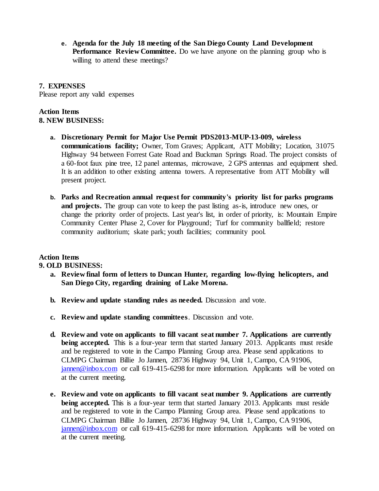**e. Agenda for the July 18 meeting of the San Diego County Land Development Performance Review Committee.** Do we have anyone on the planning group who is willing to attend these meetings?

### **7. EXPENSES**

Please report any valid expenses

## **Action Items 8. NEW BUSINESS:**

- **a. Discretionary Permit for Major Use Permit PDS2013-MUP-13-009, wireless communications facility;** Owner, Tom Graves; Applicant, ATT Mobility; Location, 31075 Highway 94 between Forrest Gate Road and Buckman Springs Road. The project consists of a 60-foot faux pine tree, 12 panel antennas, microwave, 2 GPS antennas and equipment shed. It is an addition to other existing antenna towers. A representative from ATT Mobility will present project.
- **b. Parks and Recreation annual request for community's priority list for parks programs and projects.** The group can vote to keep the past listing as-is, introduce new ones, or change the priority order of projects. Last year's list, in order of priority, is: Mountain Empire Community Center Phase 2, Cover for Playground; Turf for community ballfield; restore community auditorium; skate park; youth facilities; community pool.

# **Action Items**

**9. OLD BUSINESS:**

- **a. Review final form of letters to Duncan Hunter, regarding low-flying helicopters, and San Diego City, regarding draining of Lake Morena.**
- **b. Review and update standing rules as needed.** Discussion and vote.
- **c. Review and update standing committees**. Discussion and vote.
- **d. Review and vote on applicants to fill vacant seat number 7. Applications are currently being accepted.** This is a four-year term that started January 2013. Applicants must reside and be registered to vote in the Campo Planning Group area. Please send applications to CLMPG Chairman Billie Jo Jannen, 28736 Highway 94, Unit 1, Campo, CA 91906, [jannen@inbox.com](mailto:campojoe@yahoo.com) or call 619-415-6298 for more information. Applicants will be voted on at the current meeting.
- **e. Review and vote on applicants to fill vacant seat number 9. Applications are currently being accepted.** This is a four-year term that started January 2013. Applicants must reside and be registered to vote in the Campo Planning Group area. Please send applications to CLMPG Chairman Billie Jo Jannen, 28736 Highway 94, Unit 1, Campo, CA 91906, [jannen@inbox.com](mailto:campojoe@yahoo.com) or call 619-415-6298 for more information. Applicants will be voted on at the current meeting.